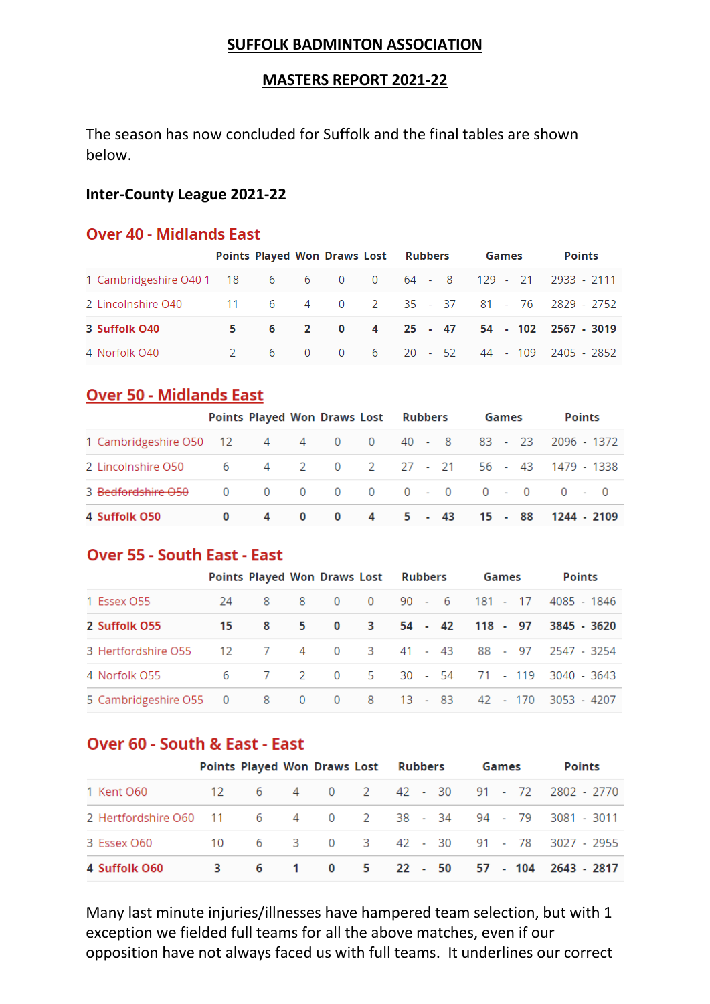#### **SUFFOLK BADMINTON ASSOCIATION**

### **MASTERS REPORT 2021-22**

The season has now concluded for Suffolk and the final tables are shown below.

### **Inter-County League 2021-22**

### **Over 40 - Midlands East**

|                                                                 | Points Played Won Draws Lost Rubbers |  |  |  |  |  |  | Games |  | <b>Points</b> |                                        |
|-----------------------------------------------------------------|--------------------------------------|--|--|--|--|--|--|-------|--|---------------|----------------------------------------|
| 1 Cambridgeshire O40 1 18 6 6 6 0 0 64 - 8 129 - 21 2933 - 2111 |                                      |  |  |  |  |  |  |       |  |               |                                        |
| 2 Lincolnshire 040 11 6 4 0 2 35 - 37 81 - 76 2829 - 2752       |                                      |  |  |  |  |  |  |       |  |               |                                        |
| 3 Suffolk 040                                                   |                                      |  |  |  |  |  |  |       |  |               | 5 6 2 0 4 25 - 47 54 - 102 2567 - 3019 |
| 4 Norfolk 040                                                   | $2^{\circ}$                          |  |  |  |  |  |  |       |  |               | 6 0 0 6 20 - 52 44 - 109 2405 - 2852   |

### **Over 50 - Midlands East**

|                               |   |              |              | <b>Points Played Won Draws Lost Rubbers</b> | Games                 | <b>Points</b>                         |
|-------------------------------|---|--------------|--------------|---------------------------------------------|-----------------------|---------------------------------------|
| 1 Cambridgeshire O50 12       |   |              |              |                                             |                       | 4 4 0 0 40 - 8 83 - 23 2096 - 1372    |
| 2 Lincolnshire O50            |   |              |              |                                             |                       | 6 4 2 0 2 27 - 21 56 - 43 1479 - 1338 |
| 3 <del>Bedfordshire O50</del> |   |              |              |                                             | 0 0 0 0 0 0 - 0 0 - 0 | $0 - 0$                               |
| 4 Suffolk O50                 | 4 | $\mathbf{0}$ | $\mathbf{0}$ | 4 5 - 43                                    |                       | 15 - 88 1244 - 2109                   |

### **Over 55 - South East - East**

|                                                             | Points Played Won Draws Lost Rubbers |      |  |  |  | Games | <b>Points</b>                          |  |
|-------------------------------------------------------------|--------------------------------------|------|--|--|--|-------|----------------------------------------|--|
| 1 Essex O55                                                 |                                      |      |  |  |  |       | 24 8 8 0 0 90 - 6 181 - 17 4085 - 1846 |  |
| 2 Suffolk O55                                               |                                      | 15 8 |  |  |  |       | 5 0 3 54 - 42 118 - 97 3845 - 3620     |  |
| 3 Hertfordshire O55 12 7 4 0 3 41 - 43 88 - 97 2547 - 3254  |                                      |      |  |  |  |       |                                        |  |
| 4 Norfolk O55                                               |                                      |      |  |  |  |       | 6 7 2 0 5 30 - 54 71 - 119 3040 - 3643 |  |
| 5 Cambridgeshire O55 0 8 0 0 8 13 - 83 42 - 170 3053 - 4207 |                                      |      |  |  |  |       |                                        |  |

# Over 60 - South & East - East

|                                                            |  |  |  | Points Played Won Draws Lost Rubbers Games | <b>Points</b>                          |
|------------------------------------------------------------|--|--|--|--------------------------------------------|----------------------------------------|
| 1 Kent O60                                                 |  |  |  |                                            | 12 6 4 0 2 42 - 30 91 - 72 2802 - 2770 |
| 2 Hertfordshire 060 11 6 4 0 2 38 - 34 94 - 79 3081 - 3011 |  |  |  |                                            |                                        |
| 3 Essex O60                                                |  |  |  |                                            | 10 6 3 0 3 42 - 30 91 - 78 3027 - 2955 |
| 4 Suffolk O60                                              |  |  |  |                                            | 3 6 1 0 5 22 - 50 57 - 104 2643 - 2817 |

Many last minute injuries/illnesses have hampered team selection, but with 1 exception we fielded full teams for all the above matches, even if our opposition have not always faced us with full teams. It underlines our correct